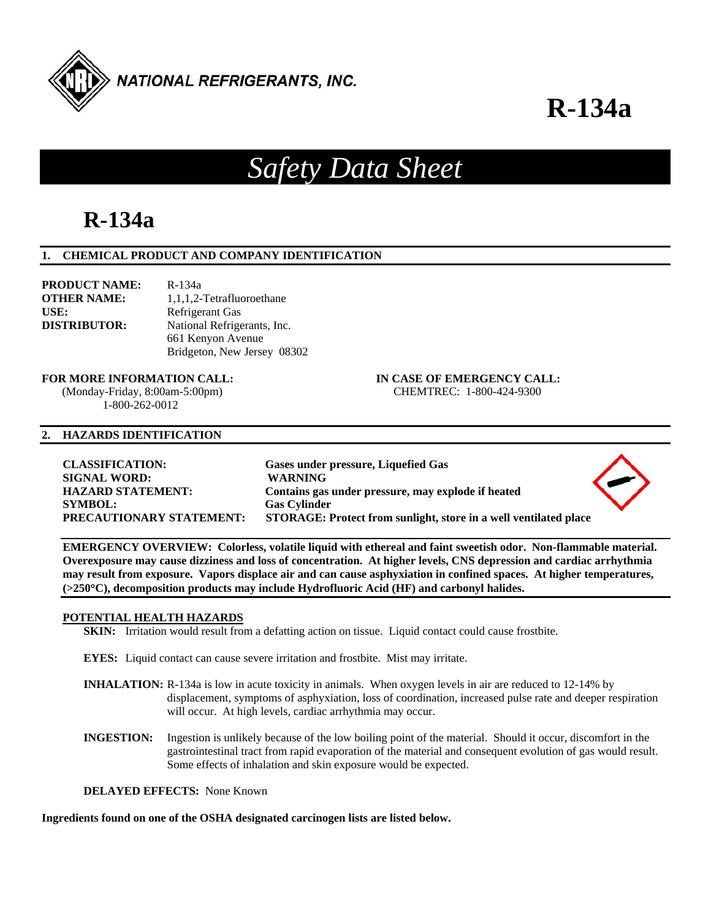

# **R-134a**

# *Safety Data Sheet*

# **R-134a**

# **1. CHEMICAL PRODUCT AND COMPANY IDENTIFICATION**

**PRODUCT NAME:** R-134a **OTHER NAME:** 1,1,1,2-Tetrafluoroethane USE: Refrigerant Gas **DISTRIBUTOR:** National Refrigerants, Inc. 661 Kenyon Avenue Bridgeton, New Jersey 08302

**FOR MORE INFORMATION CALL: IN CASE OF EMERGENCY CALL:** 

 (Monday-Friday, 8:00am-5:00pm) CHEMTREC: 1-800-424-9300 1-800-262-0012

# **2. HAZARDS IDENTIFICATION**

**CLASSIFICATION: Gases under pressure, Liquefied Gas SIGNAL WORD: WARNING SYMBOL: Gas Cylinder** 

**HAZARD STATEMENT: Contains gas under pressure, may explode if heated PRECAUTIONARY STATEMENT: STORAGE: Protect from sunlight, store in a well ventilated place** 



**EMERGENCY OVERVIEW: Colorless, volatile liquid with ethereal and faint sweetish odor. Non-flammable material. Overexposure may cause dizziness and loss of concentration. At higher levels, CNS depression and cardiac arrhythmia may result from exposure. Vapors displace air and can cause asphyxiation in confined spaces. At higher temperatures, (>250C), decomposition products may include Hydrofluoric Acid (HF) and carbonyl halides.** 

# **POTENTIAL HEALTH HAZARDS**

**SKIN:** Irritation would result from a defatting action on tissue. Liquid contact could cause frostbite.

**EYES:** Liquid contact can cause severe irritation and frostbite. Mist may irritate.

- **INHALATION:** R-134a is low in acute toxicity in animals. When oxygen levels in air are reduced to 12-14% by displacement, symptoms of asphyxiation, loss of coordination, increased pulse rate and deeper respiration will occur. At high levels, cardiac arrhythmia may occur.
- **INGESTION:** Ingestion is unlikely because of the low boiling point of the material. Should it occur, discomfort in the gastrointestinal tract from rapid evaporation of the material and consequent evolution of gas would result. Some effects of inhalation and skin exposure would be expected.

**DELAYED EFFECTS:** None Known

**Ingredients found on one of the OSHA designated carcinogen lists are listed below.**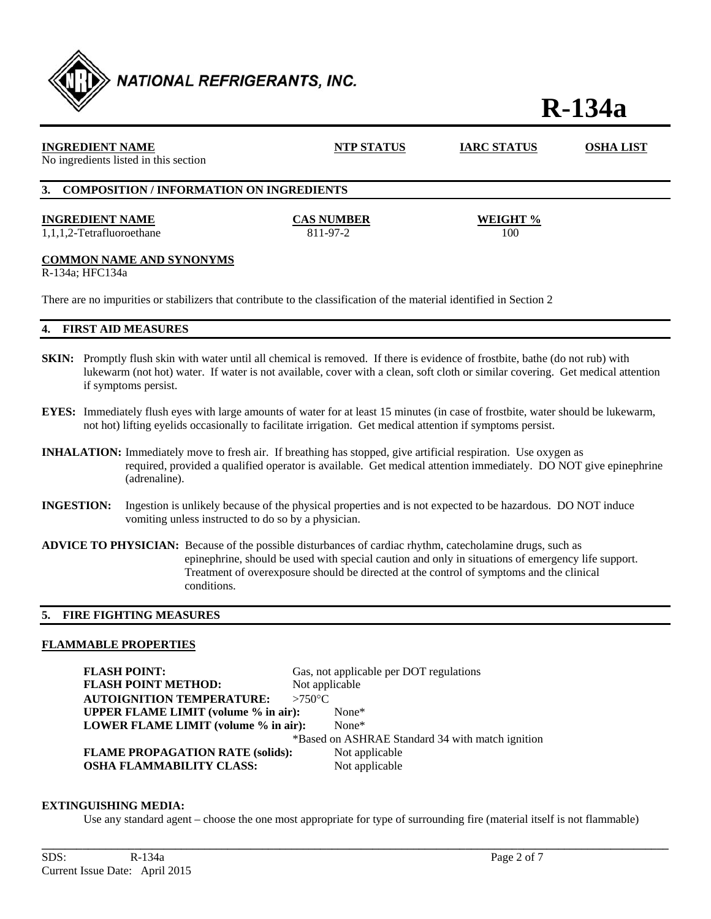

# **R-134a**

|              | <b>INGREDIENT NAME</b><br>No ingredients listed in this section                                                                                                                                                                                                                    | NTP STATUS                                                                                                           | <b>IARC STATUS</b>     | <b>OSHA LIST</b> |
|--------------|------------------------------------------------------------------------------------------------------------------------------------------------------------------------------------------------------------------------------------------------------------------------------------|----------------------------------------------------------------------------------------------------------------------|------------------------|------------------|
| 3.           | <b>COMPOSITION / INFORMATION ON INGREDIENTS</b>                                                                                                                                                                                                                                    |                                                                                                                      |                        |                  |
|              | <b>INGREDIENT NAME</b><br>1,1,1,2-Tetrafluoroethane                                                                                                                                                                                                                                | <b>CAS NUMBER</b><br>811-97-2                                                                                        | <u>WEIGHT %</u><br>100 |                  |
|              | <b>COMMON NAME AND SYNONYMS</b><br>R-134a; HFC134a                                                                                                                                                                                                                                 |                                                                                                                      |                        |                  |
|              |                                                                                                                                                                                                                                                                                    | There are no impurities or stabilizers that contribute to the classification of the material identified in Section 2 |                        |                  |
| 4.           | <b>FIRST AID MEASURES</b>                                                                                                                                                                                                                                                          |                                                                                                                      |                        |                  |
| <b>SKIN:</b> | Promptly flush skin with water until all chemical is removed. If there is evidence of frostbite, bathe (do not rub) with<br>lukewarm (not hot) water. If water is not available, cover with a clean, soft cloth or similar covering. Get medical attention<br>if symptoms persist. |                                                                                                                      |                        |                  |
|              | <b>EYES:</b> Immediately flush eyes with large amounts of water for at least 15 minutes (in case of frostbite, water should be lukewarm,<br>not hot) lifting eyelids occasionally to facilitate irrigation. Get medical attention if symptoms persist.                             |                                                                                                                      |                        |                  |

- **INHALATION:** Immediately move to fresh air. If breathing has stopped, give artificial respiration. Use oxygen as required, provided a qualified operator is available. Get medical attention immediately. DO NOT give epinephrine (adrenaline).
- **INGESTION:** Ingestion is unlikely because of the physical properties and is not expected to be hazardous. DO NOT induce vomiting unless instructed to do so by a physician.
- **ADVICE TO PHYSICIAN:** Because of the possible disturbances of cardiac rhythm, catecholamine drugs, such as epinephrine, should be used with special caution and only in situations of emergency life support. Treatment of overexposure should be directed at the control of symptoms and the clinical conditions.

# **5. FIRE FIGHTING MEASURES**

#### **FLAMMABLE PROPERTIES**

| <b>FLASH POINT:</b>                                     | Gas, not applicable per DOT regulations          |
|---------------------------------------------------------|--------------------------------------------------|
| <b>FLASH POINT METHOD:</b>                              | Not applicable                                   |
| <b>AUTOIGNITION TEMPERATURE:</b>                        | $>750^{\circ}$ C                                 |
| <b>UPPER FLAME LIMIT</b> (volume % in air):<br>None $*$ |                                                  |
| LOWER FLAME LIMIT (volume % in air):                    | $None*$                                          |
|                                                         | *Based on ASHRAE Standard 34 with match ignition |
| <b>FLAME PROPAGATION RATE (solids):</b>                 | Not applicable                                   |
| <b>OSHA FLAMMABILITY CLASS:</b>                         | Not applicable                                   |

#### **EXTINGUISHING MEDIA:**

Use any standard agent – choose the one most appropriate for type of surrounding fire (material itself is not flammable)

**\_\_\_\_\_\_\_\_\_\_\_\_\_\_\_\_\_\_\_\_\_\_\_\_\_\_\_\_\_\_\_\_\_\_\_\_\_\_\_\_\_\_\_\_\_\_\_\_\_\_\_\_\_\_\_\_\_\_\_\_\_\_\_\_\_\_\_\_\_\_\_\_\_\_\_\_\_\_\_\_\_\_\_\_\_\_\_\_\_\_\_\_\_\_\_\_\_\_\_\_\_\_\_\_\_\_\_\_**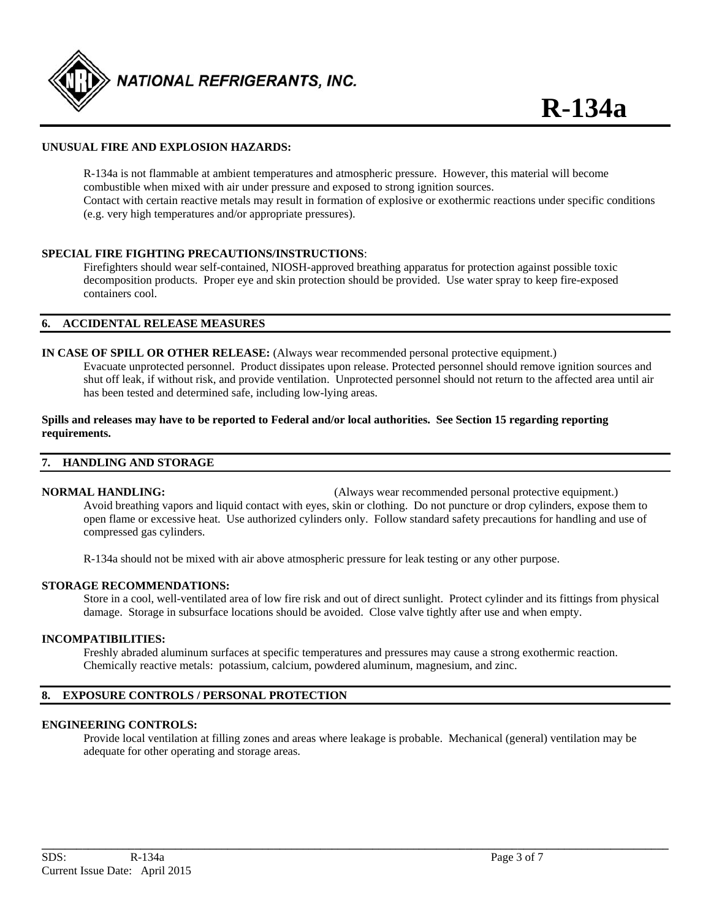

# **UNUSUAL FIRE AND EXPLOSION HAZARDS:**

 R-134a is not flammable at ambient temperatures and atmospheric pressure. However, this material will become combustible when mixed with air under pressure and exposed to strong ignition sources. Contact with certain reactive metals may result in formation of explosive or exothermic reactions under specific conditions (e.g. very high temperatures and/or appropriate pressures).

### **SPECIAL FIRE FIGHTING PRECAUTIONS/INSTRUCTIONS**:

 Firefighters should wear self-contained, NIOSH-approved breathing apparatus for protection against possible toxic decomposition products. Proper eye and skin protection should be provided. Use water spray to keep fire-exposed containers cool.

### **6. ACCIDENTAL RELEASE MEASURES**

### **IN CASE OF SPILL OR OTHER RELEASE:** (Always wear recommended personal protective equipment.)

Evacuate unprotected personnel. Product dissipates upon release. Protected personnel should remove ignition sources and shut off leak, if without risk, and provide ventilation. Unprotected personnel should not return to the affected area until air has been tested and determined safe, including low-lying areas.

# **Spills and releases may have to be reported to Federal and/or local authorities. See Section 15 regarding reporting requirements.**

### **7. HANDLING AND STORAGE**

**NORMAL HANDLING:** (Always wear recommended personal protective equipment.) Avoid breathing vapors and liquid contact with eyes, skin or clothing. Do not puncture or drop cylinders, expose them to open flame or excessive heat. Use authorized cylinders only. Follow standard safety precautions for handling and use of compressed gas cylinders.

R-134a should not be mixed with air above atmospheric pressure for leak testing or any other purpose.

#### **STORAGE RECOMMENDATIONS:**

 Store in a cool, well-ventilated area of low fire risk and out of direct sunlight. Protect cylinder and its fittings from physical damage. Storage in subsurface locations should be avoided. Close valve tightly after use and when empty.

#### **INCOMPATIBILITIES:**

Freshly abraded aluminum surfaces at specific temperatures and pressures may cause a strong exothermic reaction. Chemically reactive metals: potassium, calcium, powdered aluminum, magnesium, and zinc.

# **8. EXPOSURE CONTROLS / PERSONAL PROTECTION**

#### **ENGINEERING CONTROLS:**

 Provide local ventilation at filling zones and areas where leakage is probable. Mechanical (general) ventilation may be adequate for other operating and storage areas.

**\_\_\_\_\_\_\_\_\_\_\_\_\_\_\_\_\_\_\_\_\_\_\_\_\_\_\_\_\_\_\_\_\_\_\_\_\_\_\_\_\_\_\_\_\_\_\_\_\_\_\_\_\_\_\_\_\_\_\_\_\_\_\_\_\_\_\_\_\_\_\_\_\_\_\_\_\_\_\_\_\_\_\_\_\_\_\_\_\_\_\_\_\_\_\_\_\_\_\_\_\_\_\_\_\_\_\_\_**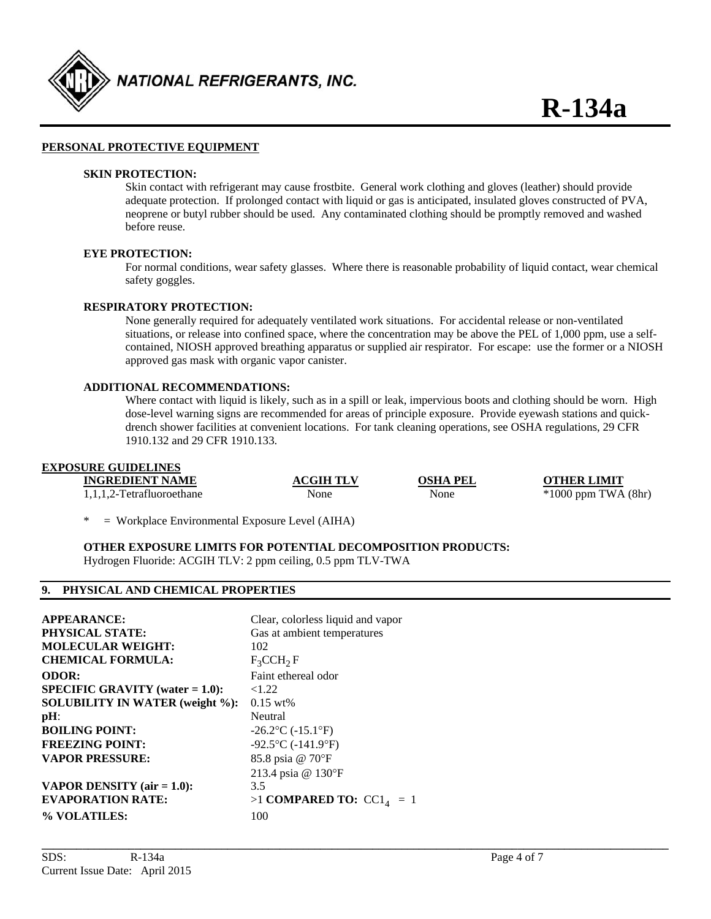

#### **PERSONAL PROTECTIVE EQUIPMENT**

#### **SKIN PROTECTION:**

 Skin contact with refrigerant may cause frostbite. General work clothing and gloves (leather) should provide adequate protection. If prolonged contact with liquid or gas is anticipated, insulated gloves constructed of PVA, neoprene or butyl rubber should be used. Any contaminated clothing should be promptly removed and washed before reuse.

#### **EYE PROTECTION:**

For normal conditions, wear safety glasses. Where there is reasonable probability of liquid contact, wear chemical safety goggles.

#### **RESPIRATORY PROTECTION:**

 None generally required for adequately ventilated work situations. For accidental release or non-ventilated situations, or release into confined space, where the concentration may be above the PEL of 1,000 ppm, use a self contained, NIOSH approved breathing apparatus or supplied air respirator. For escape: use the former or a NIOSH approved gas mask with organic vapor canister.

#### **ADDITIONAL RECOMMENDATIONS:**

Where contact with liquid is likely, such as in a spill or leak, impervious boots and clothing should be worn. High dose-level warning signs are recommended for areas of principle exposure. Provide eyewash stations and quick drench shower facilities at convenient locations. For tank cleaning operations, see OSHA regulations, 29 CFR 1910.132 and 29 CFR 1910.133.

# **EXPOSURE GUIDELINES**

| <b>INGREDIENT NAME</b>    | <b>ACGIH TLV</b> | OSHA PEL | <b>OTHER LIMIT</b>      |
|---------------------------|------------------|----------|-------------------------|
| 1,1,1,2-Tetrafluoroethane | None             | None     | $*1000$ ppm TWA $(8hr)$ |

**\_\_\_\_\_\_\_\_\_\_\_\_\_\_\_\_\_\_\_\_\_\_\_\_\_\_\_\_\_\_\_\_\_\_\_\_\_\_\_\_\_\_\_\_\_\_\_\_\_\_\_\_\_\_\_\_\_\_\_\_\_\_\_\_\_\_\_\_\_\_\_\_\_\_\_\_\_\_\_\_\_\_\_\_\_\_\_\_\_\_\_\_\_\_\_\_\_\_\_\_\_\_\_\_\_\_\_\_** 

 $=$  Workplace Environmental Exposure Level (AIHA)

**OTHER EXPOSURE LIMITS FOR POTENTIAL DECOMPOSITION PRODUCTS:** 

Hydrogen Fluoride: ACGIH TLV: 2 ppm ceiling, 0.5 ppm TLV-TWA

# **9. PHYSICAL AND CHEMICAL PROPERTIES**

| <b>APPEARANCE:</b>                        | Clear, colorless liquid and vapor |
|-------------------------------------------|-----------------------------------|
| <b>PHYSICAL STATE:</b>                    | Gas at ambient temperatures       |
| <b>MOLECULAR WEIGHT:</b>                  | 102                               |
| <b>CHEMICAL FORMULA:</b>                  | $F_3CCH_2F$                       |
| <b>ODOR:</b>                              | Faint ethereal odor               |
| <b>SPECIFIC GRAVITY</b> (water $= 1.0$ ): | <1.22                             |
| <b>SOLUBILITY IN WATER (weight %):</b>    | $0.15 \text{ wt\%}$               |
| $pH$ :                                    | Neutral                           |
| <b>BOILING POINT:</b>                     | $-26.2$ °C ( $-15.1$ °F)          |
| <b>FREEZING POINT:</b>                    | $-92.5$ °C ( $-141.9$ °F)         |
| <b>VAPOR PRESSURE:</b>                    | 85.8 psia @ 70°F                  |
|                                           | 213.4 psia @ 130°F                |
| VAPOR DENSITY $(air = 1.0)$ :             | 3.5                               |
| <b>EVAPORATION RATE:</b>                  | $>1$ COMPARED TO: $CC14 = 1$      |
| % VOLATILES:                              | 100                               |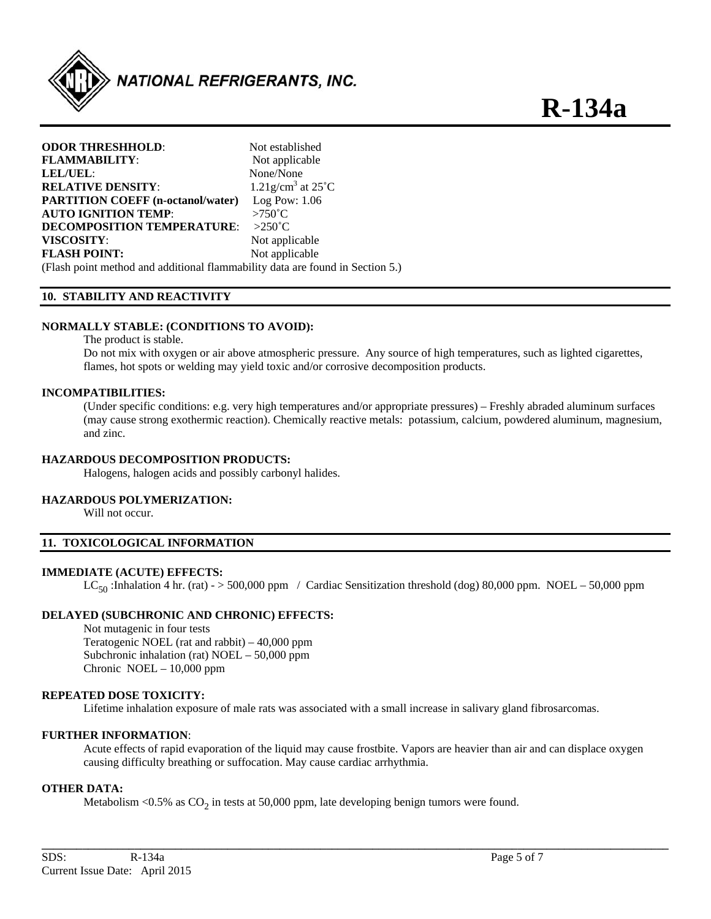

**R-134a**

| <b>ODOR THRESHHOLD:</b>                                                       | Not established                            |  |
|-------------------------------------------------------------------------------|--------------------------------------------|--|
| <b>FLAMMABILITY:</b>                                                          | Not applicable                             |  |
| LEL/UEL:                                                                      | None/None                                  |  |
| <b>RELATIVE DENSITY:</b>                                                      | $1.21$ g/cm <sup>3</sup> at $25^{\circ}$ C |  |
| <b>PARTITION COEFF (n-octanol/water)</b>                                      | Log Pow: $1.06$                            |  |
| <b>AUTO IGNITION TEMP:</b>                                                    | $>750^{\circ}$ C                           |  |
| <b>DECOMPOSITION TEMPERATURE:</b>                                             | $>250^{\circ}$ C                           |  |
| VISCOSITY:                                                                    | Not applicable                             |  |
| <b>FLASH POINT:</b>                                                           | Not applicable                             |  |
| (Flash point method and additional flammability data are found in Section 5.) |                                            |  |

### **10. STABILITY AND REACTIVITY**

### **NORMALLY STABLE: (CONDITIONS TO AVOID):**

The product is stable.

Do not mix with oxygen or air above atmospheric pressure. Any source of high temperatures, such as lighted cigarettes, flames, hot spots or welding may yield toxic and/or corrosive decomposition products.

#### **INCOMPATIBILITIES:**

 (Under specific conditions: e.g. very high temperatures and/or appropriate pressures) – Freshly abraded aluminum surfaces (may cause strong exothermic reaction). Chemically reactive metals: potassium, calcium, powdered aluminum, magnesium, and zinc.

#### **HAZARDOUS DECOMPOSITION PRODUCTS:**

Halogens, halogen acids and possibly carbonyl halides.

#### **HAZARDOUS POLYMERIZATION:**

Will not occur.

# **11. TOXICOLOGICAL INFORMATION**

#### **IMMEDIATE (ACUTE) EFFECTS:**

 $LC_{50}$ :Inhalation 4 hr. (rat) - > 500,000 ppm / Cardiac Sensitization threshold (dog) 80,000 ppm. NOEL – 50,000 ppm

#### **DELAYED (SUBCHRONIC AND CHRONIC) EFFECTS:**

 Not mutagenic in four tests Teratogenic NOEL (rat and rabbit) – 40,000 ppm Subchronic inhalation (rat) NOEL – 50,000 ppm Chronic NOEL – 10,000 ppm

### **REPEATED DOSE TOXICITY:**

Lifetime inhalation exposure of male rats was associated with a small increase in salivary gland fibrosarcomas.

#### **FURTHER INFORMATION**:

Acute effects of rapid evaporation of the liquid may cause frostbite. Vapors are heavier than air and can displace oxygen causing difficulty breathing or suffocation. May cause cardiac arrhythmia.

**\_\_\_\_\_\_\_\_\_\_\_\_\_\_\_\_\_\_\_\_\_\_\_\_\_\_\_\_\_\_\_\_\_\_\_\_\_\_\_\_\_\_\_\_\_\_\_\_\_\_\_\_\_\_\_\_\_\_\_\_\_\_\_\_\_\_\_\_\_\_\_\_\_\_\_\_\_\_\_\_\_\_\_\_\_\_\_\_\_\_\_\_\_\_\_\_\_\_\_\_\_\_\_\_\_\_\_\_** 

# **OTHER DATA:**

Metabolism <0.5% as  $CO<sub>2</sub>$  in tests at 50,000 ppm, late developing benign tumors were found.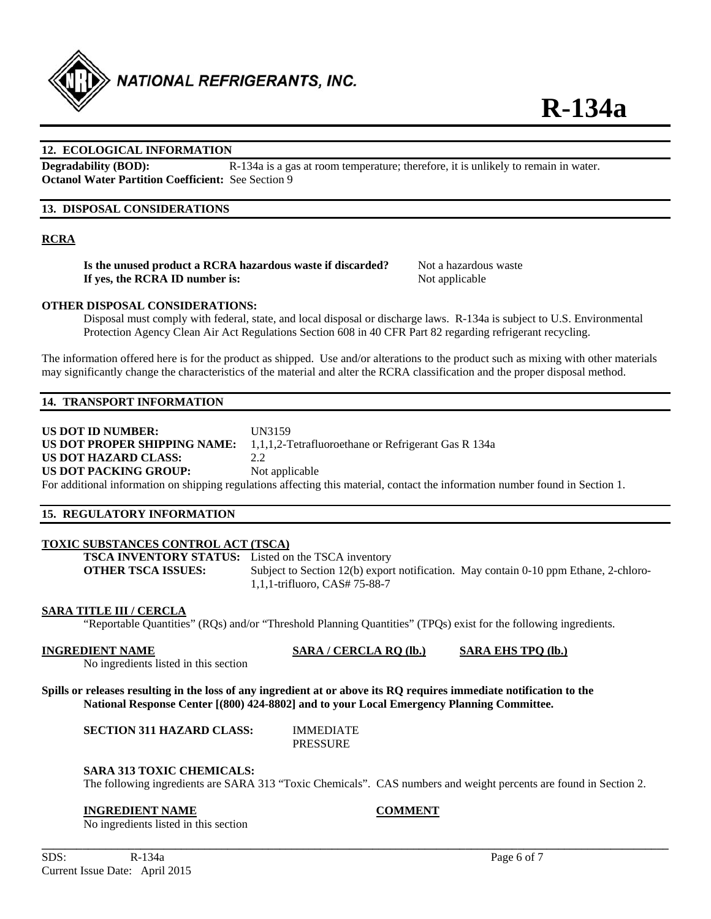

# **12. ECOLOGICAL INFORMATION**

**Degradability (BOD):** R-134a is a gas at room temperature; therefore, it is unlikely to remain in water. **Octanol Water Partition Coefficient:** See Section 9

# **13. DISPOSAL CONSIDERATIONS**

# **RCRA**

**Is the unused product a RCRA hazardous waste if discarded?** Not a hazardous waste **If yes, the RCRA ID number is:** Not applicable

# **OTHER DISPOSAL CONSIDERATIONS:**

 Disposal must comply with federal, state, and local disposal or discharge laws. R-134a is subject to U.S. Environmental Protection Agency Clean Air Act Regulations Section 608 in 40 CFR Part 82 regarding refrigerant recycling.

The information offered here is for the product as shipped. Use and/or alterations to the product such as mixing with other materials may significantly change the characteristics of the material and alter the RCRA classification and the proper disposal method.

# **14. TRANSPORT INFORMATION**

| US DOT ID NUMBER:                                                                                                              | UN3159                                                                                  |  |
|--------------------------------------------------------------------------------------------------------------------------------|-----------------------------------------------------------------------------------------|--|
|                                                                                                                                | <b>US DOT PROPER SHIPPING NAME:</b> 1,1,1,2-Tetrafluoroethane or Refrigerant Gas R 134a |  |
| US DOT HAZARD CLASS:                                                                                                           |                                                                                         |  |
| US DOT PACKING GROUP:                                                                                                          | Not applicable                                                                          |  |
| For additional information on shipping regulations affecting this material, contact the information number found in Section 1. |                                                                                         |  |

# **15. REGULATORY INFORMATION**

# **TOXIC SUBSTANCES CONTROL ACT (TSCA)**

**TSCA INVENTORY STATUS:** Listed on the TSCA inventory **OTHER TSCA ISSUES:** Subject to Section 12(b) export notification. May contain 0-10 ppm Ethane, 2-chloro-1,1,1-trifluoro, CAS# 75-88-7

# **SARA TITLE III / CERCLA**

"Reportable Quantities" (RQs) and/or "Threshold Planning Quantities" (TPQs) exist for the following ingredients.

No ingredients listed in this section

**INGREDIENT NAME SARA / CERCLA RQ (lb.) SARA EHS TPQ (lb.)**

**Spills or releases resulting in the loss of any ingredient at or above its RQ requires immediate notification to the National Response Center [(800) 424-8802] and to your Local Emergency Planning Committee.** 

**SECTION 311 HAZARD CLASS:** IMMEDIATE

PRESSURE

#### **SARA 313 TOXIC CHEMICALS:**

The following ingredients are SARA 313 "Toxic Chemicals". CAS numbers and weight percents are found in Section 2.

**\_\_\_\_\_\_\_\_\_\_\_\_\_\_\_\_\_\_\_\_\_\_\_\_\_\_\_\_\_\_\_\_\_\_\_\_\_\_\_\_\_\_\_\_\_\_\_\_\_\_\_\_\_\_\_\_\_\_\_\_\_\_\_\_\_\_\_\_\_\_\_\_\_\_\_\_\_\_\_\_\_\_\_\_\_\_\_\_\_\_\_\_\_\_\_\_\_\_\_\_\_\_\_\_\_\_\_\_** 

#### **INGREDIENT NAME COMMENT**

No ingredients listed in this section